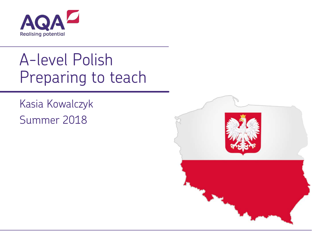

# A-level Polish Preparing to teach

Kasia Kowalczyk Summer 2018

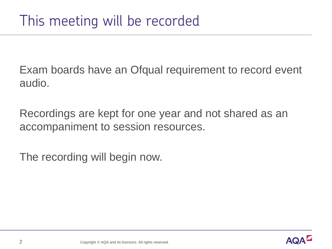Exam boards have an Ofqual requirement to record event audio.

Recordings are kept for one year and not shared as an accompaniment to session resources.

The recording will begin now.

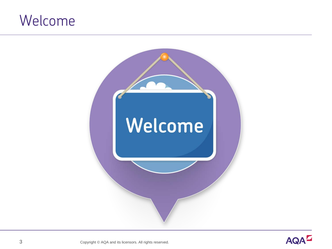### Welcome



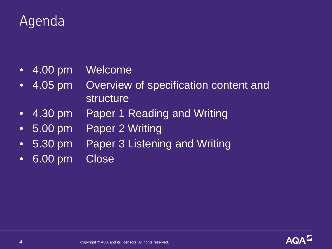### Agenda

- 4.00 pm Welcome
- 4.05 pm Overview of specification content and structure
- 4.30 pm Paper 1 Reading and Writing
- 5.00 pm Paper 2 Writing
- 5.30 pm Paper 3 Listening and Writing
- 6.00 pm Close

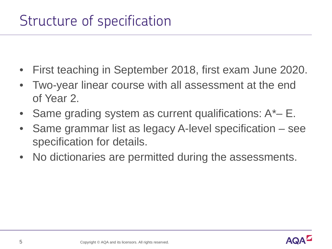### Structure of specification

- First teaching in September 2018, first exam June 2020.
- Two-year linear course with all assessment at the end of Year 2.
- Same grading system as current qualifications:  $A^*-E$ .
- Same grammar list as legacy A-level specification see specification for details.
- No dictionaries are permitted during the assessments.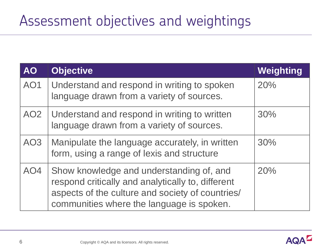### Assessment objectives and weightings

| <b>AO</b>       | <b>Objective</b>                                                                                                                                                                               | Weighting |
|-----------------|------------------------------------------------------------------------------------------------------------------------------------------------------------------------------------------------|-----------|
| AO1             | Understand and respond in writing to spoken<br>language drawn from a variety of sources.                                                                                                       | 20%       |
| AO <sub>2</sub> | Understand and respond in writing to written<br>language drawn from a variety of sources.                                                                                                      | 30%       |
| AO <sub>3</sub> | Manipulate the language accurately, in written<br>form, using a range of lexis and structure                                                                                                   | 30%       |
| AO4             | Show knowledge and understanding of, and<br>respond critically and analytically to, different<br>aspects of the culture and society of countries/<br>communities where the language is spoken. | 20%       |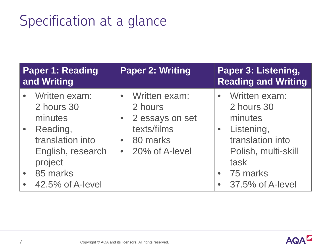| <b>Paper 1: Reading</b><br>and Writing |                                                              | <b>Paper 2: Writing</b> |                                                     | Paper 3: Listening,<br><b>Reading and Writing</b> |                                                               |
|----------------------------------------|--------------------------------------------------------------|-------------------------|-----------------------------------------------------|---------------------------------------------------|---------------------------------------------------------------|
|                                        | Written exam:<br>2 hours 30<br>minutes                       | $\bullet$               | Written exam:<br>2 hours<br>2 essays on set         | $\bullet$                                         | Written exam:<br>2 hours 30<br>minutes                        |
|                                        | Reading,<br>translation into<br>English, research<br>project | $\bullet$               | texts/films<br>80 marks<br>$\bullet$ 20% of A-level | $\bullet$                                         | Listening,<br>translation into<br>Polish, multi-skill<br>task |
|                                        | 85 marks<br>42.5% of A-level                                 |                         |                                                     | $\bullet$                                         | 75 marks<br>37.5% of A-level                                  |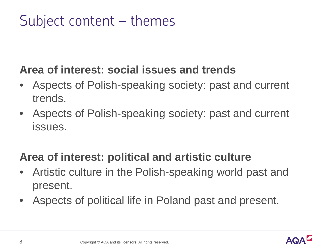### **Area of interest: social issues and trends**

- Aspects of Polish-speaking society: past and current trends.
- Aspects of Polish-speaking society: past and current issues.

### **Area of interest: political and artistic culture**

- Artistic culture in the Polish-speaking world past and present.
- Aspects of political life in Poland past and present.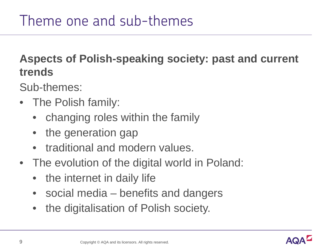**Aspects of Polish-speaking society: past and current trends**

Sub-themes:

- The Polish family:
	- changing roles within the family
	- the generation gap
	- traditional and modern values.
- The evolution of the digital world in Poland:
	- the internet in daily life
	- social media benefits and dangers
	- the digitalisation of Polish society.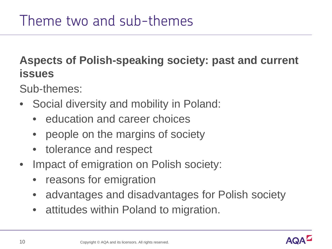**Aspects of Polish-speaking society: past and current issues**

Sub-themes:

- Social diversity and mobility in Poland:
	- education and career choices
	- people on the margins of society
	- tolerance and respect
- Impact of emigration on Polish society:
	- reasons for emigration
	- advantages and disadvantages for Polish society
	- attitudes within Poland to migration.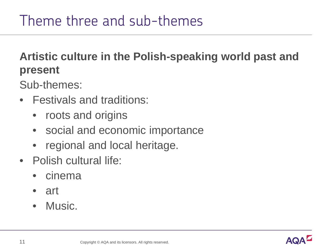### **Artistic culture in the Polish-speaking world past and present**

Sub-themes:

- Festivals and traditions:
	- roots and origins
	- social and economic importance
	- regional and local heritage.
- Polish cultural life:
	- cinema
	- art
	- Music.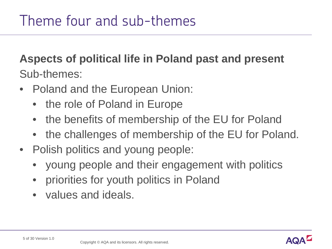### **Aspects of political life in Poland past and present** Sub-themes:

- Poland and the European Union:
	- the role of Poland in Europe
	- the benefits of membership of the EU for Poland
	- the challenges of membership of the EU for Poland.
- Polish politics and young people:
	- young people and their engagement with politics
	- priorities for youth politics in Poland
	- values and ideals.

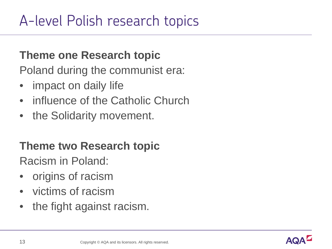## A-level Polish research topics

#### **Theme one Research topic**

Poland during the communist era:

- impact on daily life
- influence of the Catholic Church
- the Solidarity movement.

#### **Theme two Research topic**

Racism in Poland:

- origins of racism
- victims of racism
- the fight against racism.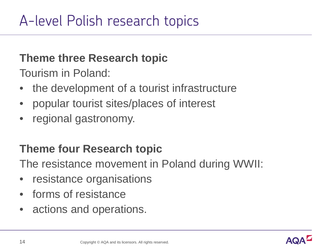#### **Theme three Research topic**

Tourism in Poland:

- the development of a tourist infrastructure
- popular tourist sites/places of interest
- regional gastronomy.

### **Theme four Research topic**

The resistance movement in Poland during WWII:

- resistance organisations
- forms of resistance
- actions and operations.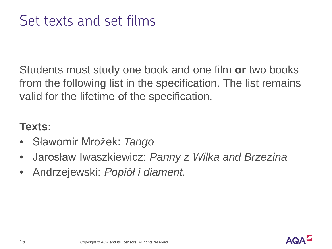Students must study one book and one film **or** two books from the following list in the specification. The list remains valid for the lifetime of the specification.

#### **Texts:**

- Sławomir Mrożek: *Tango*
- Jarosław Iwaszkiewicz: *Panny z Wilka and Brzezina*
- Andrzejewski: *Popiół i diament.*

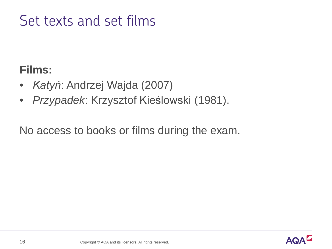### **Films:**

- *Katyń*: Andrzej Wajda (2007)
- *Przypadek*: Krzysztof Kieślowski (1981).

No access to books or films during the exam.

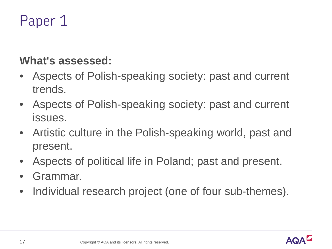### **What's assessed:**

- Aspects of Polish-speaking society: past and current trends.
- Aspects of Polish-speaking society: past and current issues.
- Artistic culture in the Polish-speaking world, past and present.
- Aspects of political life in Poland; past and present.
- Grammar.
- Individual research project (one of four sub-themes).

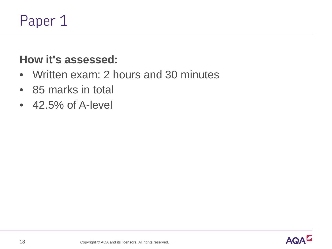### **How it's assessed:**

- Written exam: 2 hours and 30 minutes
- 85 marks in total
- $\cdot$  42.5% of A-level

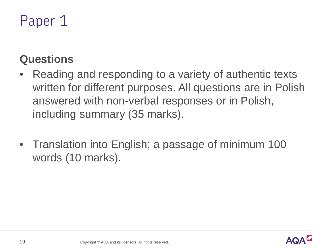### **Questions**

- Reading and responding to a variety of authentic texts written for different purposes. All questions are in Polish answered with non-verbal responses or in Polish, including summary (35 marks).
- Translation into English; a passage of minimum 100 words (10 marks).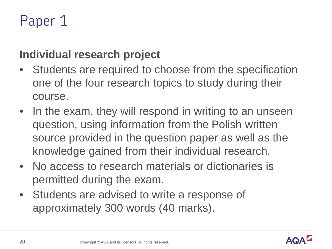### **Individual research project**

- Students are required to choose from the specification one of the four research topics to study during their course.
- In the exam, they will respond in writing to an unseen question, using information from the Polish written source provided in the question paper as well as the knowledge gained from their individual research.
- No access to research materials or dictionaries is permitted during the exam.
- Students are advised to write a response of approximately 300 words (40 marks).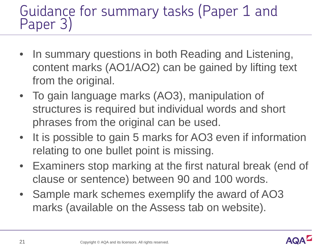### Guidance for summary tasks (Paper 1 and Paper 3)

- In summary questions in both Reading and Listening, content marks (AO1/AO2) can be gained by lifting text from the original.
- To gain language marks (AO3), manipulation of structures is required but individual words and short phrases from the original can be used.
- It is possible to gain 5 marks for AO3 even if information relating to one bullet point is missing.
- Examiners stop marking at the first natural break (end of clause or sentence) between 90 and 100 words.
- Sample mark schemes exemplify the award of AO3 marks (available on the Assess tab on website).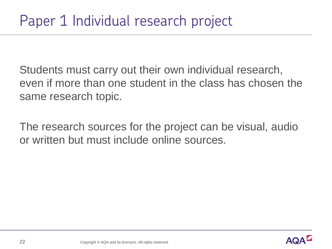Students must carry out their own individual research, even if more than one student in the class has chosen the same research topic.

The research sources for the project can be visual, audio or written but must include online sources.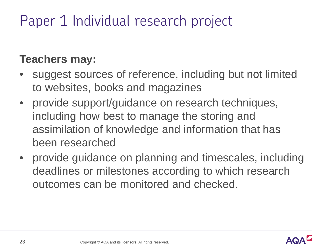## Paper 1 Individual research project

### **Teachers may:**

- suggest sources of reference, including but not limited to websites, books and magazines
- provide support/guidance on research techniques, including how best to manage the storing and assimilation of knowledge and information that has been researched
- provide guidance on planning and timescales, including deadlines or milestones according to which research outcomes can be monitored and checked.

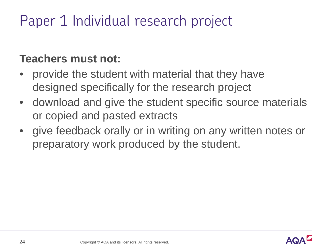## Paper 1 Individual research project

#### **Teachers must not:**

- provide the student with material that they have designed specifically for the research project
- download and give the student specific source materials or copied and pasted extracts
- give feedback orally or in writing on any written notes or preparatory work produced by the student.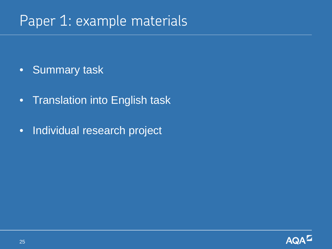### Paper 1: example materials

- Summary task
- Translation into English task
- Individual research project

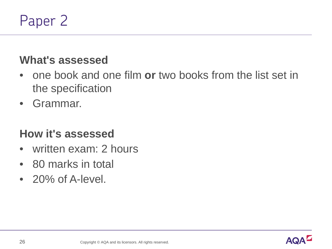### **What's assessed**

- one book and one film **or** two books from the list set in the specification
- Grammar.

#### **How it's assessed**

- written exam: 2 hours
- 80 marks in total
- 20% of A-level.

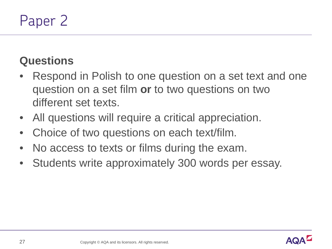### **Questions**

- Respond in Polish to one question on a set text and one question on a set film **or** to two questions on two different set texts.
- All questions will require a critical appreciation.
- Choice of two questions on each text/film.
- No access to texts or films during the exam.
- Students write approximately 300 words per essay.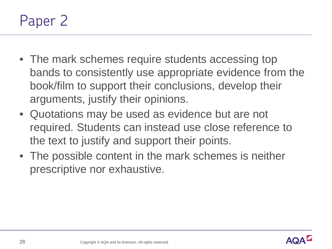- The mark schemes require students accessing top bands to consistently use appropriate evidence from the book/film to support their conclusions, develop their arguments, justify their opinions.
- Quotations may be used as evidence but are not required. Students can instead use close reference to the text to justify and support their points.
- The possible content in the mark schemes is neither prescriptive nor exhaustive.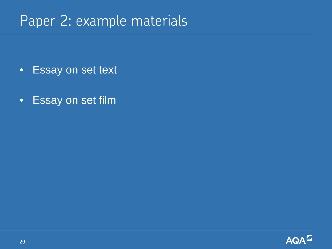### Paper 2: example materials

- Essay on set text
- Essay on set film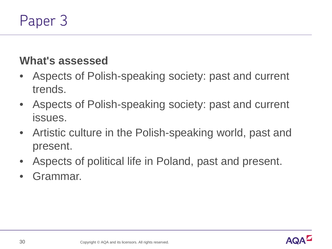### **What's assessed**

- Aspects of Polish-speaking society: past and current trends.
- Aspects of Polish-speaking society: past and current issues.
- Artistic culture in the Polish-speaking world, past and present.
- Aspects of political life in Poland, past and present.
- Grammar.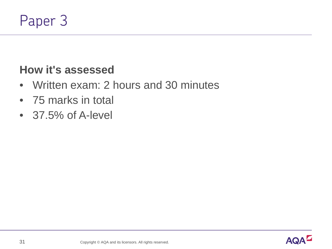### **How it's assessed**

- Written exam: 2 hours and 30 minutes
- 75 marks in total
- 37.5% of A-level

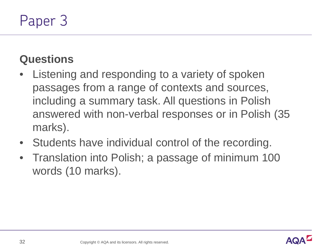### **Questions**

- Listening and responding to a variety of spoken passages from a range of contexts and sources, including a summary task. All questions in Polish answered with non-verbal responses or in Polish (35 marks).
- Students have individual control of the recording.
- Translation into Polish; a passage of minimum 100 words (10 marks).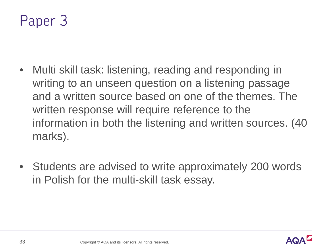

- Multi skill task: listening, reading and responding in writing to an unseen question on a listening passage and a written source based on one of the themes. The written response will require reference to the information in both the listening and written sources. (40 marks).
- Students are advised to write approximately 200 words in Polish for the multi-skill task essay.

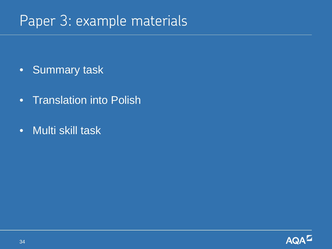### Paper 3: example materials

- Summary task
- Translation into Polish
- Multi skill task

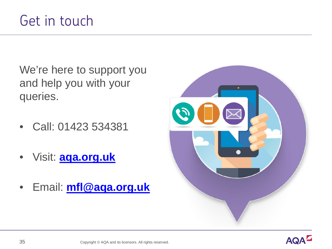We're here to support you and help you with your queries.

- Call: 01423 534381
- Visit: **[aqa.org.uk](http://www.aqa.org.uk/)**
- Email: **[mfl@aqa.org.uk](mailto:mfl@aqa.org.uk)**



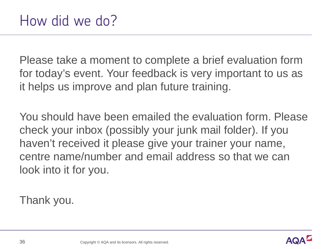Please take a moment to complete a brief evaluation form for today's event. Your feedback is very important to us as it helps us improve and plan future training.

You should have been emailed the evaluation form. Please check your inbox (possibly your junk mail folder). If you haven't received it please give your trainer your name, centre name/number and email address so that we can look into it for you.

Thank you.